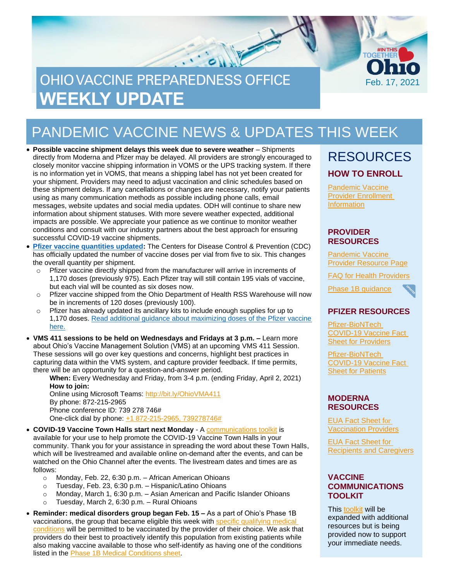# OHIO VACCINE PREPAREDNESS OFFICE **WEEKLY UPDATE**

# PANDEMIC VACCINE NEWS & UPDATES THIS WEEK

- **Possible vaccine shipment delays this week due to severe weather** Shipments directly from Moderna and Pfizer may be delayed. All providers are strongly encouraged to closely monitor vaccine shipping information in VOMS or the UPS tracking system. If there is no information yet in VOMS, that means a shipping label has not yet been created for your shipment. Providers may need to adjust vaccination and clinic schedules based on these shipment delays. If any cancellations or changes are necessary, notify your patients using as many communication methods as possible including phone calls, email messages, website updates and social media updates. ODH will continue to share new information about shipment statuses. With more severe weather expected, additional impacts are possible. We appreciate your patience as we continue to monitor weather conditions and consult with our industry partners about the best approach for ensuring successful COVID-19 vaccine shipments.
- **[Pfizer vaccine quantities updated:](https://www.cdc.gov/vaccines/covid-19/info-by-product/pfizer/index.html)** The Centers for Disease Control & Prevention (CDC) has officially updated the number of vaccine doses per vial from five to six. This changes the overall quantity per shipment.
	- o Pfizer vaccine directly shipped from the manufacturer will arrive in increments of 1,170 doses (previously 975). Each Pfizer tray will still contain 195 vials of vaccine, but each vial will be counted as six doses now.
	- o Pfizer vaccine shipped from the Ohio Department of Health RSS Warehouse will now be in increments of 120 doses (previously 100).
	- o Pfizer has already updated its ancillary kits to include enough supplies for up to 1,170 doses. [Read additional guidance about maximizing doses of the Pfizer](https://odh.ohio.gov/static/covid19/vaccine-providers/max-dose-pfizer-biontech-covid-19-vaccine.pdf) vaccine [here.](https://odh.ohio.gov/static/covid19/vaccine-providers/max-dose-pfizer-biontech-covid-19-vaccine.pdf)
- **VMS 411 sessions to be held on Wednesdays and Fridays at 3 p.m. –** Learn more about Ohio's Vaccine Management Solution (VMS) at an upcoming VMS 411 Session. These sessions will go over key questions and concerns, highlight best practices in capturing data within the VMS system, and capture provider feedback. If time permits, there will be an opportunity for a question-and-answer period.

**When:** Every Wednesday and Friday, from 3-4 p.m. (ending Friday, April 2, 2021) **How to join:**

Online using Microsoft Teams: <http://bit.ly/OhioVMA411> By phone: 872-215-2965 Phone conference ID: 739 278 746# One-click dial by phone: [+1 872-215-2965,](tel:+18722152965,,739278746# ) 739278746#

• **COVID-19 Vaccine Town Halls start next Monday** - A [communications toolkit](https://coronavirus.ohio.gov/static/vaccine/town_hall_communications_toolkit.pdf) is available for your use to help promote the COVID-19 Vaccine Town Halls in your community. Thank you for your assistance in spreading the word about these Town Halls, which will be livestreamed and available online on-demand after the events, and can be watched on the Ohio Channel after the events. The livestream dates and times are as follows:

- o Monday, Feb. 22, 6:30 p.m. African American Ohioans
- o Tuesday, Feb. 23, 6:30 p.m. Hispanic/Latino Ohioans
- o Monday, March 1, 6:30 p.m. Asian American and Pacific Islander Ohioans
- o Tuesday, March 2, 6:30 p.m. Rural Ohioans
- **Reminder: medical disorders group began Feb. 15 –** As a part of Ohio's Phase 1B vaccinations, the group that became eligible this week with [specific qualifying medical](https://coronavirus.ohio.gov/static/vaccine/phase_1b_medical.pdf)  [conditions](https://coronavirus.ohio.gov/static/vaccine/phase_1b_medical.pdf) will be permitted to be vaccinated by the provider of their choice. We ask that providers do their best to proactively identify this population from existing patients while also making vaccine available to those who self-identify as having one of the conditions listed in the [Phase 1B Medical Conditions sheet.](https://coronavirus.ohio.gov/static/vaccine/phase_1b_medical.pdf)

### RESOURCES **HOW TO ENROLL**

Feb. 17, 2021

**TOGËT** 

[Pandemic Vaccine](https://odh.ohio.gov/wps/portal/gov/odh/know-our-programs/immunization/pandemic-vaccine-provider/ohio-covid-19-provider-enrollment)  [Provider Enrollment](https://odh.ohio.gov/wps/portal/gov/odh/know-our-programs/immunization/pandemic-vaccine-provider/ohio-covid-19-provider-enrollment)  [Information](https://odh.ohio.gov/wps/portal/gov/odh/know-our-programs/immunization/pandemic-vaccine-provider/ohio-covid-19-provider-enrollment)

#### **PROVIDER RESOURCES**

[Pandemic](https://odh.ohio.gov/wps/portal/gov/odh/know-our-programs/Immunization/pandemic-vaccine-provider) Vaccine [Provider Resource Page](https://odh.ohio.gov/wps/portal/gov/odh/know-our-programs/Immunization/pandemic-vaccine-provider)

FAQ for Health [Providers](https://coronavirus.ohio.gov/static/docs/Enrollment-Information-FAQ.pdf)



#### **PFIZER RESOURCES**

[Pfizer-BioNTech](https://www.fda.gov/media/144413/download)  [COVID-19 Vaccine Fact](https://www.fda.gov/media/144413/download)  **[Sheet for Providers](https://www.fda.gov/media/144413/download)** 

[Pfizer-BioNTech](https://odh.ohio.gov/wps/portal/gov/odh/know-our-programs/covid-19-vaccine-provider/manufacturer-specific-information/manufacturer-specific-information/!ut/p/z1/jZDdCoJAEEafxQdYZo1c8tKExJ81IkXbm1g2tYVcZVMvevrMO6HSuZvhHJjvAwY5MMUHWfFONoo_xv3CyDW2Pcc0Qxx7JLLx6UiTwMTUxy6BbA7sEssZAZJ64eHsJ1sL2Bof_xgHL_nBEjAm2Gjq0gpYy7s7kqpsIBfNIG_ItNHAhZCqQK3-XAoNec1VX3LR9brQ6NkWQpZSTJqup1rWIBmw-WNfipmAP8nbOs1f0d72K8N4A42Ic8o!/%C2%A0https:/www.fda.gov/media/144414/download)  [COVID-19 Vaccine Fact](https://odh.ohio.gov/wps/portal/gov/odh/know-our-programs/covid-19-vaccine-provider/manufacturer-specific-information/manufacturer-specific-information/!ut/p/z1/jZDdCoJAEEafxQdYZo1c8tKExJ81IkXbm1g2tYVcZVMvevrMO6HSuZvhHJjvAwY5MMUHWfFONoo_xv3CyDW2Pcc0Qxx7JLLx6UiTwMTUxy6BbA7sEssZAZJ64eHsJ1sL2Bof_xgHL_nBEjAm2Gjq0gpYy7s7kqpsIBfNIG_ItNHAhZCqQK3-XAoNec1VX3LR9brQ6NkWQpZSTJqup1rWIBmw-WNfipmAP8nbOs1f0d72K8N4A42Ic8o!/%C2%A0https:/www.fda.gov/media/144414/download)  **[Sheet for Patients](https://odh.ohio.gov/wps/portal/gov/odh/know-our-programs/covid-19-vaccine-provider/manufacturer-specific-information/manufacturer-specific-information/!ut/p/z1/jZDdCoJAEEafxQdYZo1c8tKExJ81IkXbm1g2tYVcZVMvevrMO6HSuZvhHJjvAwY5MMUHWfFONoo_xv3CyDW2Pcc0Qxx7JLLx6UiTwMTUxy6BbA7sEssZAZJ64eHsJ1sL2Bof_xgHL_nBEjAm2Gjq0gpYy7s7kqpsIBfNIG_ItNHAhZCqQK3-XAoNec1VX3LR9brQ6NkWQpZSTJqup1rWIBmw-WNfipmAP8nbOs1f0d72K8N4A42Ic8o!/%C2%A0https:/www.fda.gov/media/144414/download)** 

#### **MODERNA RESOURCES**

[EUA Fact Sheet f](https://www.modernatx.com/covid19vaccine-eua/eua-fact-sheet-providers.pdf)[or](https://www.modernatx.com/covid19vaccine-eua/eua-fact-sheet-providers.pdf)  [Vaccination Providers](https://www.modernatx.com/covid19vaccine-eua/eua-fact-sheet-providers.pdf)

[EUA Fact Sheet for](https://www.modernatx.com/covid19vaccine-eua/eua-fact-sheet-recipients.pdf)  [Recipients and Caregivers](https://www.modernatx.com/covid19vaccine-eua/eua-fact-sheet-recipients.pdf)

#### **VACCINE COMMUNICATIONS TOOLKIT**

This [toolkit](https://odh.ohio.gov/static/covid19/vaccine-providers/communications_toolkit.pdf) will be expanded with additional resources but is being provided now to support your immediate needs.